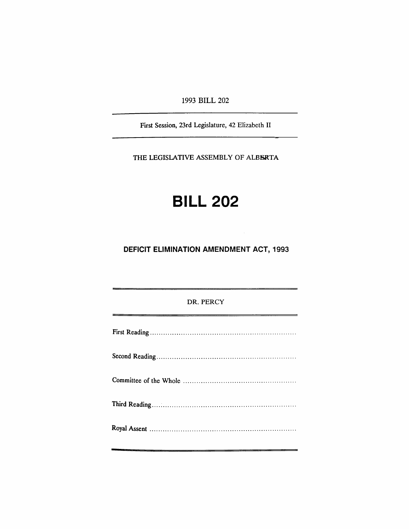1993 BILL 202

First Session, 23rd Legislature, 42 Elizabeth II

THE LEGISlATIVE ASSEMBLY OF ALBSRTA

# **BILL 202**

**DEFICIT ELIMINATION AMENDMENT ACT, 1993**

## DR. PERCY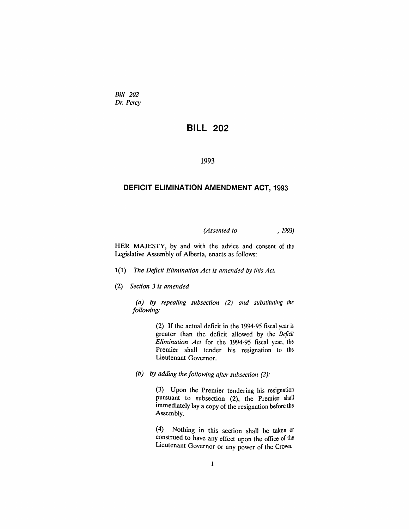*Bill 202 Dr. Percy*

## **BILL 202**

#### 1993

#### **DEFICIT ELIMINATION AMENDMENT ACT, 1993**

*(Assented to* , 1993)

HER MAJESTY, by and with the advice and consent of the Legislative Assembly of Alberta, enacts as follows:

- *1(1) The Deficit Elimination Act is amended by this Act.*
- *(2) Section* 3 *is amended*

*(a) by repealing subsection* (2) *and substituting the following:*

> (2) If the actual deficit in the 1994-95 fiscal year is greater than the deficit allowed by the *Deficit Elimination Act* for the 1994-95 fiscal year, the Premier shall tender his resignation to the Lieutenant Governor.

*(b) by adding the following after subsection* (2):

(3) Upon the Premier tendering his resignation pursuant to subsection (2), the Premier shall immediately lay a copy of the resignation before the Assembly.

(4) Nothing in this section shall be taken or construed to have any effect upon the office of the Lieutenant Governor or any power of the Crown.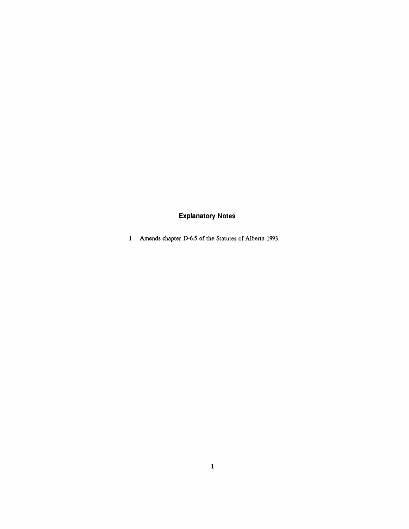# **Explanatory Notes**

Amends chapter D-6.5 of the Statutes of Alberta 1993.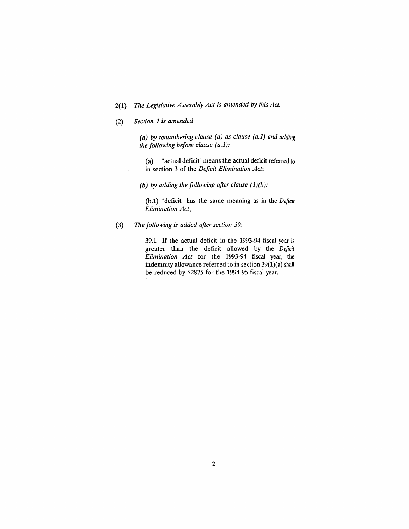## 2(1) The *Legislative Assembly Act is amended by this Act.*

*(2) Section* 1 *is amended*

*(a) by renumbering clause (a) as clause (a.1) and adding the following before clause (a.* 1):

(a) "actual deficit" means the actual deficit referred to in section 3 of the *Deficit Elimination Act;*

*(b) by adding the following after clause* (1)*(b):*

(b.l) "deficit" has the same meaning as in the *Deficit Elimination Act;*

(3) The *following is added after section 39:*

39.1 If the actual deficit in the 1993-94 fiscal year is greater than the deficit allowed by the *Deficit Elimination Act* for the 1993-94 fiscal year, the indemnity allowance referred to in section 39(1)(a) shall be reduced by \$2875 for the 1994-95 fiscal year.

 $\bar{z}$